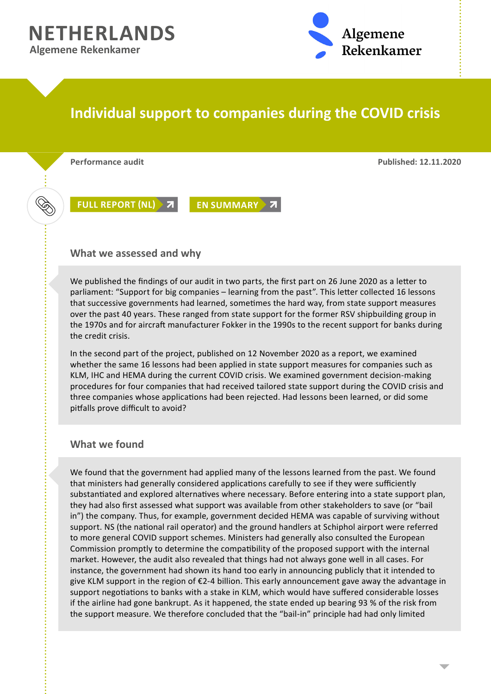**NETHERLANDS Algemene Rekenkamer**



## **Individual support to companies during the COVID crisis**

**Performance audit Published: 12.11.2020**

Ž

**[FULL REPORT \(NL\)](https://www.rekenkamer.nl/publicaties/rapporten/2020/11/12/individuele-steun-aan-bedrijven-tijdens-de-coronacrisis) 7 [EN SUMMARY](https://english.rekenkamer.nl/publications/reports/2020/11/12/rapport) 7** 

## **What we assessed and why**

We published the findings of our audit in two parts, the first part on 26 June 2020 as a letter to parliament: "Support for big companies – learning from the past". This letter collected 16 lessons that successive governments had learned, sometimes the hard way, from state support measures over the past 40 years. These ranged from state support for the former RSV shipbuilding group in the 1970s and for aircraft manufacturer Fokker in the 1990s to the recent support for banks during the credit crisis.

In the second part of the project, published on 12 November 2020 as a report, we examined whether the same 16 lessons had been applied in state support measures for companies such as KLM, IHC and HEMA during the current COVID crisis. We examined government decision-making procedures for four companies that had received tailored state support during the COVID crisis and three companies whose applications had been rejected. Had lessons been learned, or did some pitfalls prove difficult to avoid?

## **What we found**

We found that the government had applied many of the lessons learned from the past. We found that ministers had generally considered applications carefully to see if they were sufficiently substantiated and explored alternatives where necessary. Before entering into a state support plan, they had also first assessed what support was available from other stakeholders to save (or "bail in") the company. Thus, for example, government decided HEMA was capable of surviving without support. NS (the national rail operator) and the ground handlers at Schiphol airport were referred to more general COVID support schemes. Ministers had generally also consulted the European Commission promptly to determine the compatibility of the proposed support with the internal market. However, the audit also revealed that things had not always gone well in all cases. For instance, the government had shown its hand too early in announcing publicly that it intended to give KLM support in the region of €2-4 billion. This early announcement gave away the advantage in support negotiations to banks with a stake in KLM, which would have suffered considerable losses if the airline had gone bankrupt. As it happened, the state ended up bearing 93 % of the risk from the support measure. We therefore concluded that the "bail-in" principle had had only limited